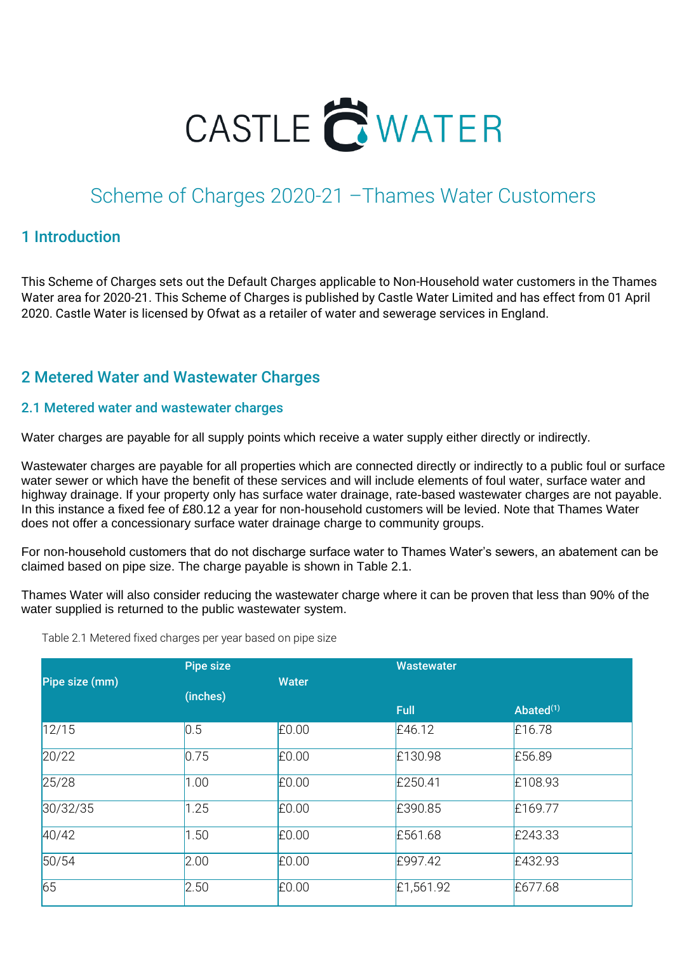

# Scheme of Charges 2020-21 –Thames Water Customers

### 1 Introduction

This Scheme of Charges sets out the Default Charges applicable to Non-Household water customers in the Thames Water area for 2020-21. This Scheme of Charges is published by Castle Water Limited and has effect from 01 April 2020. Castle Water is licensed by Ofwat as a retailer of water and sewerage services in England.

# 2 Metered Water and Wastewater Charges

#### 2.1 Metered water and wastewater charges

Water charges are payable for all supply points which receive a water supply either directly or indirectly.

Wastewater charges are payable for all properties which are connected directly or indirectly to a public foul or surface water sewer or which have the benefit of these services and will include elements of foul water, surface water and highway drainage. If your property only has surface water drainage, rate-based wastewater charges are not payable. In this instance a fixed fee of £80.12 a year for non-household customers will be levied. Note that Thames Water does not offer a concessionary surface water drainage charge to community groups.

For non-household customers that do not discharge surface water to Thames Water's sewers, an abatement can be claimed based on pipe size. The charge payable is shown in Table 2.1.

Thames Water will also consider reducing the wastewater charge where it can be proven that less than 90% of the water supplied is returned to the public wastewater system.

|                | <b>Pipe size</b> |              | <b>Wastewater</b> |              |  |
|----------------|------------------|--------------|-------------------|--------------|--|
| Pipe size (mm) |                  | <b>Water</b> |                   |              |  |
|                | (inches)         |              | <b>Full</b>       | Abated $(1)$ |  |
| 12/15          | 0.5              | £0.00        | £46.12            | E16.78       |  |
| 20/22          | 0.75             | £0.00        | £130.98           | £56.89       |  |
| 25/28          | 1.00             | £0.00        | £250.41           | £108.93      |  |
| 30/32/35       | 1.25             | £0.00        | £390.85           | £169.77      |  |
| 40/42          | 1.50             | £0.00        | £561.68           | £243.33      |  |
| 50/54          | 2.00             | £0.00        | £997.42           | £432.93      |  |
| 65             | 2.50             | £0.00        | £1,561.92         | £677.68      |  |

Table 2.1 Metered fixed charges per year based on pipe size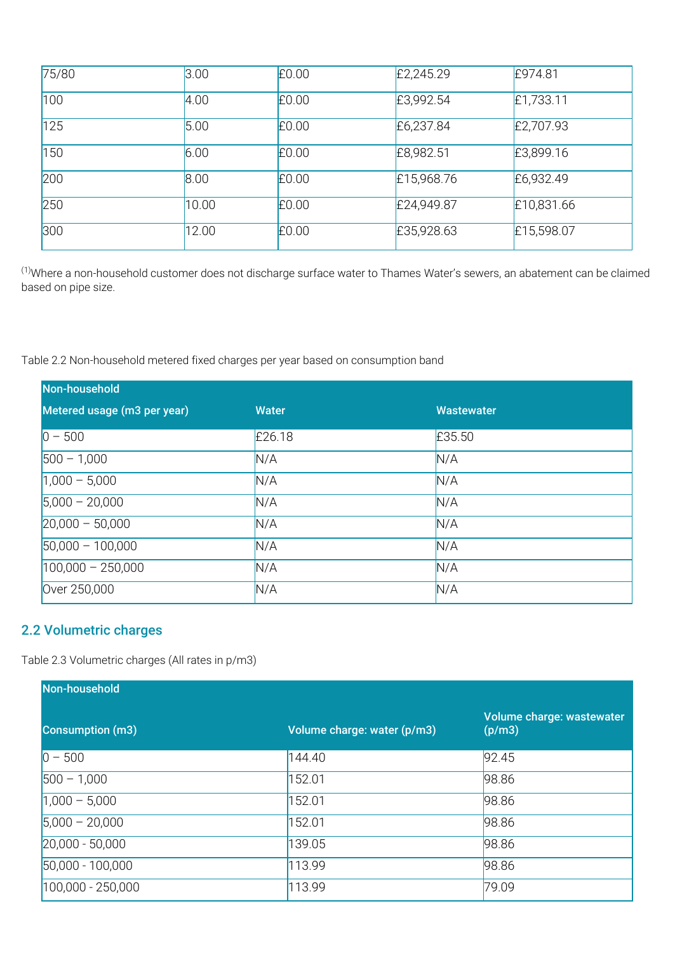| 75/80 | 3.00  | £0.00 | £2,245.29  | £974.81    |
|-------|-------|-------|------------|------------|
| 100   | 4.00  | £0.00 | £3,992.54  | E1,733.11  |
| 125   | 5.00  | £0.00 | £6,237.84  | £2,707.93  |
| 150   | 6.00  | £0.00 | £8,982.51  | £3,899.16  |
| 200   | 8.00  | £0.00 | £15,968.76 | £6,932.49  |
| 250   | 10.00 | £0.00 | £24,949.87 | £10,831.66 |
| 300   | 12.00 | £0.00 | £35,928.63 | £15,598.07 |

(1)Where a non-household customer does not discharge surface water to Thames Water's sewers, an abatement can be claimed based on pipe size.

Table 2.2 Non-household metered fixed charges per year based on consumption band

| Non-household               |              |                   |
|-----------------------------|--------------|-------------------|
| Metered usage (m3 per year) | <b>Water</b> | <b>Wastewater</b> |
| $0 - 500$                   | £26.18       | £35.50            |
| $500 - 1,000$               | N/A          | N/A               |
| $1,000 - 5,000$             | N/A          | N/A               |
| $5,000 - 20,000$            | N/A          | N/A               |
| $20,000 - 50,000$           | N/A          | N/A               |
| $50,000 - 100,000$          | N/A          | N/A               |
| $100,000 - 250,000$         | N/A          | N/A               |
| Over 250,000                | N/A          | N/A               |

#### 2.2 Volumetric charges

Table 2.3 Volumetric charges (All rates in p/m3)

| Non-household           |                             |                                     |
|-------------------------|-----------------------------|-------------------------------------|
| <b>Consumption (m3)</b> | Volume charge: water (p/m3) | Volume charge: wastewater<br>(p/m3) |
| $ 0 - 500$              | 144.40                      | 92.45                               |
| $ 500 - 1,000 $         | 152.01                      | 98.86                               |
| $1,000 - 5,000$         | 152.01                      | 98.86                               |
| $ 5,000 - 20,000 $      | 152.01                      | 98.86                               |
| $[20,000 - 50,000]$     | 139.05                      | 98.86                               |
| 50,000 - 100,000        | 113.99                      | 98.86                               |
| 100,000 - 250,000       | 113.99                      | 79.09                               |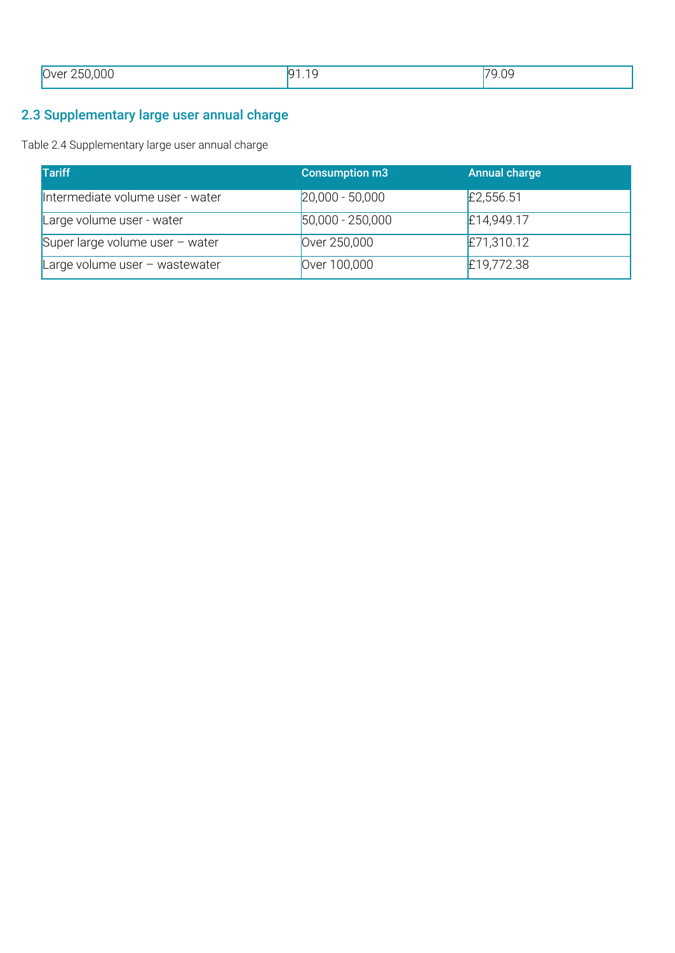| .250,000<br>7∖/Ar<br>$\overline{\phantom{a}}$ | $\sim$<br>$\sim$<br>$\sim$ | 9.09<br>⇁⌒<br>______ |
|-----------------------------------------------|----------------------------|----------------------|
|                                               |                            |                      |

# 2.3 Supplementary large user annual charge

Table 2.4 Supplementary large user annual charge

| <b>Tariff</b>                     | <b>Consumption m3</b> | <b>Annual charge</b> |
|-----------------------------------|-----------------------|----------------------|
| Intermediate volume user - water  | $[20,000 - 50,000]$   | £2,556.51            |
| Large volume user - water         | $ 50,000 - 250,000 $  | £14,949.17           |
| Super large volume user $-$ water | Over 250,000          | £71,310.12           |
| Large volume user $-$ wastewater  | Over 100,000          | £19,772.38           |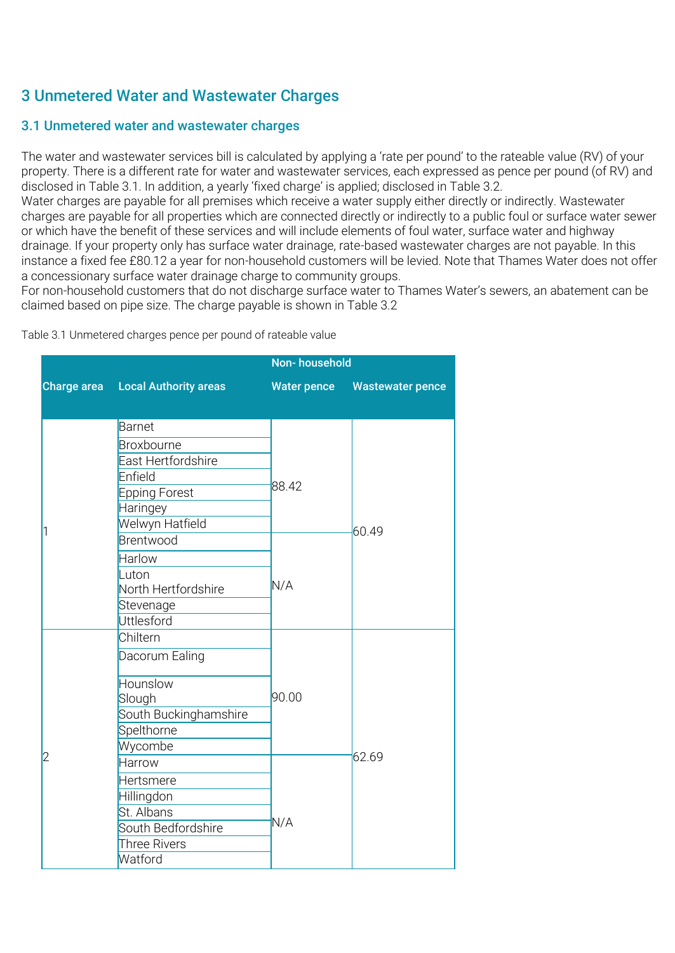# 3 Unmetered Water and Wastewater Charges

## 3.1 Unmetered water and wastewater charges

The water and wastewater services bill is calculated by applying a 'rate per pound' to the rateable value (RV) of your property. There is a different rate for water and wastewater services, each expressed as pence per pound (of RV) and disclosed in Table 3.1. In addition, a yearly 'fixed charge' is applied; disclosed in Table 3.2.

Water charges are payable for all premises which receive a water supply either directly or indirectly. Wastewater charges are payable for all properties which are connected directly or indirectly to a public foul or surface water sewer or which have the benefit of these services and will include elements of foul water, surface water and highway drainage. If your property only has surface water drainage, rate-based wastewater charges are not payable. In this instance a fixed fee £80.12 a year for non-household customers will be levied. Note that Thames Water does not offer a concessionary surface water drainage charge to community groups.

For non-household customers that do not discharge surface water to Thames Water's sewers, an abatement can be claimed based on pipe size. The charge payable is shown in Table 3.2

Table 3.1 Unmetered charges pence per pound of rateable value

|                    |                              | Non-household      |                         |
|--------------------|------------------------------|--------------------|-------------------------|
| <b>Charge area</b> | <b>Local Authority areas</b> | <b>Water pence</b> | <b>Wastewater pence</b> |
|                    |                              |                    |                         |
|                    | <b>Barnet</b>                |                    |                         |
|                    | Broxbourne                   |                    |                         |
|                    | East Hertfordshire           |                    |                         |
|                    | Enfield                      |                    |                         |
|                    | <b>Epping Forest</b>         | 88.42              |                         |
|                    | Haringey                     |                    |                         |
| 1                  | Welwyn Hatfield              |                    | 60.49                   |
|                    | Brentwood                    |                    |                         |
|                    | Harlow                       |                    |                         |
|                    | Luton                        |                    |                         |
|                    | North Hertfordshire          | N/A                |                         |
|                    | Stevenage                    |                    |                         |
|                    | <b>Uttlesford</b>            |                    |                         |
|                    | Chiltern                     |                    |                         |
|                    | Dacorum Ealing               |                    |                         |
|                    | <b>Hounslow</b>              |                    |                         |
|                    | Slough                       | 90.00              |                         |
|                    | South Buckinghamshire        |                    |                         |
|                    | Spelthorne                   |                    |                         |
|                    | Wycombe                      |                    | 62.69                   |
| 2                  | Harrow                       |                    |                         |
|                    | Hertsmere                    |                    |                         |
|                    | Hillingdon                   |                    |                         |
|                    | St. Albans                   |                    |                         |
|                    | South Bedfordshire           | N/A                |                         |
|                    | Three Rivers                 |                    |                         |
|                    | Watford                      |                    |                         |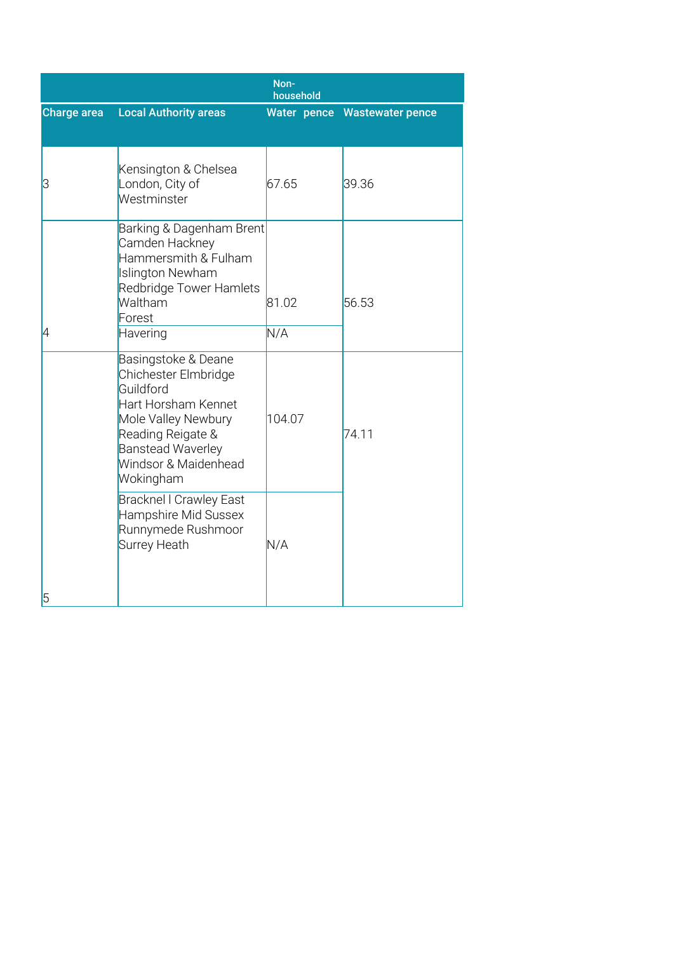|             |                                                                                                                                                                                              | Non-<br>household |                              |
|-------------|----------------------------------------------------------------------------------------------------------------------------------------------------------------------------------------------|-------------------|------------------------------|
| Charge area | <b>Local Authority areas</b>                                                                                                                                                                 |                   | Water pence Wastewater pence |
|             |                                                                                                                                                                                              |                   |                              |
| 3           | Kensington & Chelsea<br>London, City of<br>Westminster                                                                                                                                       | 67.65             | 39.36                        |
|             | Barking & Dagenham Brent<br>Camden Hackney<br>Hammersmith & Fulham<br>Islington Newham<br>Redbridge Tower Hamlets<br>Waltham<br>Forest                                                       | 81.02             | 56.53                        |
| 4           | Havering                                                                                                                                                                                     | N/A               |                              |
|             | Basingstoke & Deane<br>Chichester Elmbridge<br>Guildford<br>Hart Horsham Kennet<br>Mole Valley Newbury<br>Reading Reigate &<br><b>Banstead Waverley</b><br>Windsor & Maidenhead<br>Wokingham | 104.07            | 74.11                        |
| 5           | <b>Bracknel I Crawley East</b><br>Hampshire Mid Sussex<br>Runnymede Rushmoor<br><b>Surrey Heath</b>                                                                                          | N/A               |                              |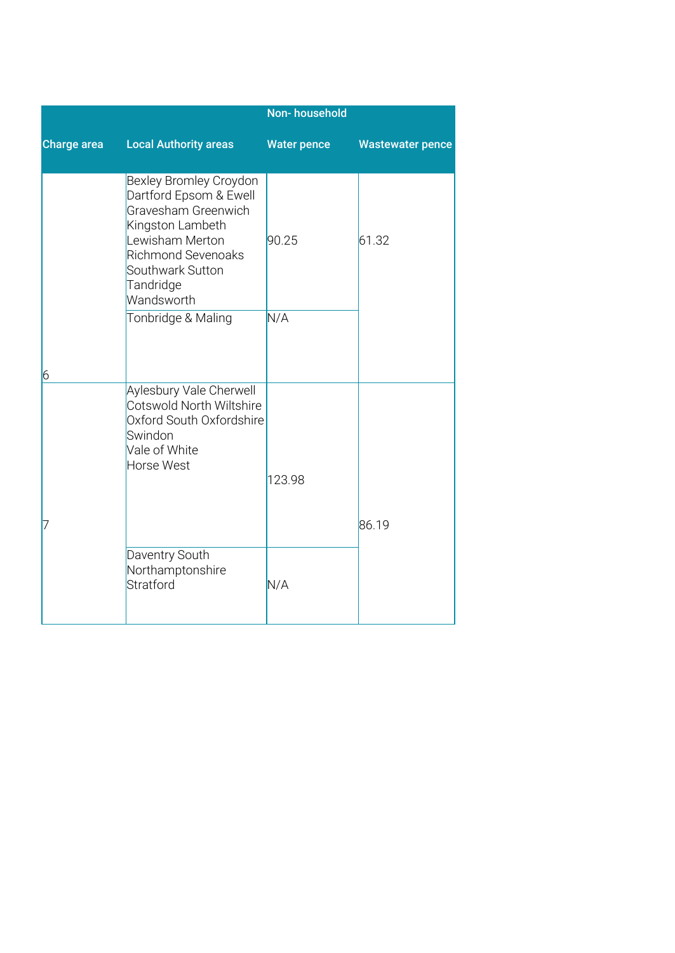|                 |                                                                                                                                                                                            | <b>Non-household</b> |                         |
|-----------------|--------------------------------------------------------------------------------------------------------------------------------------------------------------------------------------------|----------------------|-------------------------|
| Charge area     | <b>Local Authority areas</b>                                                                                                                                                               | <b>Water pence</b>   | <b>Wastewater pence</b> |
|                 | Bexley Bromley Croydon<br>Dartford Epsom & Ewell<br>Gravesham Greenwich<br>Kingston Lambeth<br>Lewisham Merton<br><b>Richmond Sevenoaks</b><br>Southwark Sutton<br>Tandridge<br>Wandsworth | 90.25                | 61.32                   |
| $6\overline{6}$ | Tonbridge & Maling                                                                                                                                                                         | N/A                  |                         |
|                 | <b>Aylesbury Vale Cherwell</b><br>Cotswold North Wiltshire<br>Oxford South Oxfordshire<br>Swindon<br>Vale of White<br>Horse West                                                           | 123.98               | 86.19                   |
|                 | Daventry South<br>Northamptonshire<br>Stratford                                                                                                                                            | N/A                  |                         |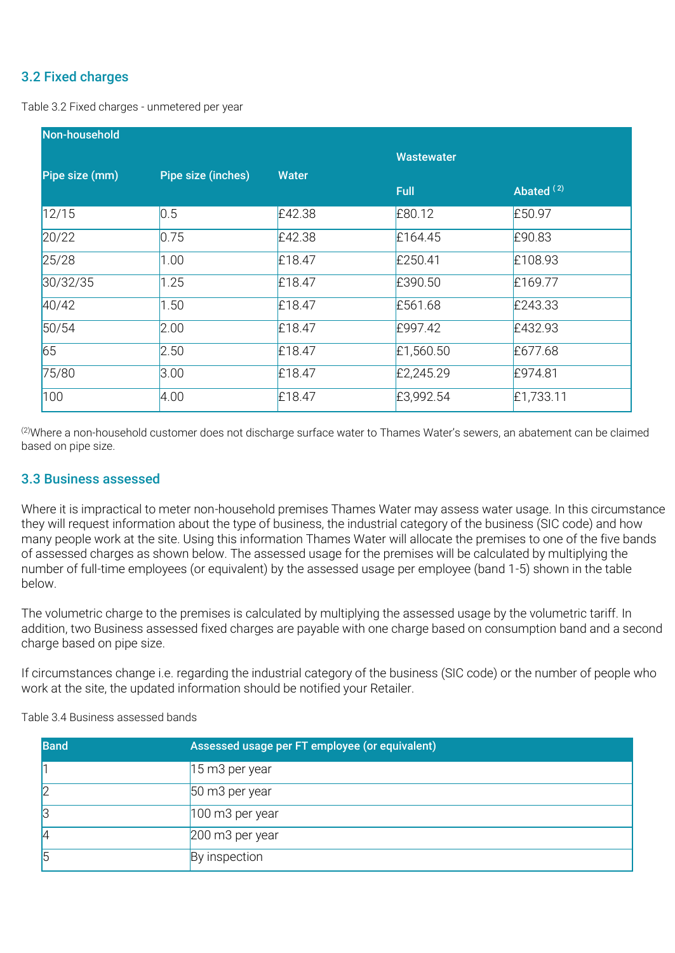### 3.2 Fixed charges

Table 3.2 Fixed charges - unmetered per year

| Non-household  |                    |              |                   |              |
|----------------|--------------------|--------------|-------------------|--------------|
|                |                    |              | <b>Wastewater</b> |              |
| Pipe size (mm) | Pipe size (inches) | <b>Water</b> | <b>Full</b>       | Abated $(2)$ |
| 12/15          | 0.5                | £42.38       | £80.12            | £50.97       |
| 20/22          | 0.75               | £42.38       | £164.45           | £90.83       |
| 25/28          | 1.00               | £18.47       | £250.41           | £108.93      |
| 30/32/35       | 1.25               | £18.47       | £390.50           | £169.77      |
| 40/42          | 1.50               | £18.47       | £561.68           | £243.33      |
| 50/54          | 2.00               | £18.47       | £997.42           | £432.93      |
| 65             | 2.50               | £18.47       | £1,560.50         | £677.68      |
| 75/80          | 3.00               | £18.47       | £2,245.29         | £974.81      |
| 100            | 4.00               | £18.47       | £3,992.54         | £1,733.11    |

(2)Where a non-household customer does not discharge surface water to Thames Water's sewers, an abatement can be claimed based on pipe size.

#### 3.3 Business assessed

Where it is impractical to meter non-household premises Thames Water may assess water usage. In this circumstance they will request information about the type of business, the industrial category of the business (SIC code) and how many people work at the site. Using this information Thames Water will allocate the premises to one of the five bands of assessed charges as shown below. The assessed usage for the premises will be calculated by multiplying the number of full-time employees (or equivalent) by the assessed usage per employee (band 1-5) shown in the table below.

The volumetric charge to the premises is calculated by multiplying the assessed usage by the volumetric tariff. In addition, two Business assessed fixed charges are payable with one charge based on consumption band and a second charge based on pipe size.

If circumstances change i.e. regarding the industrial category of the business (SIC code) or the number of people who work at the site, the updated information should be notified your Retailer.

Table 3.4 Business assessed bands

| <b>Band</b> | Assessed usage per FT employee (or equivalent) |
|-------------|------------------------------------------------|
|             | 15 m3 per year                                 |
|             | 50 m3 per year                                 |
|             | 100 m3 per year                                |
|             | 200 m3 per year                                |
| 5           | By inspection                                  |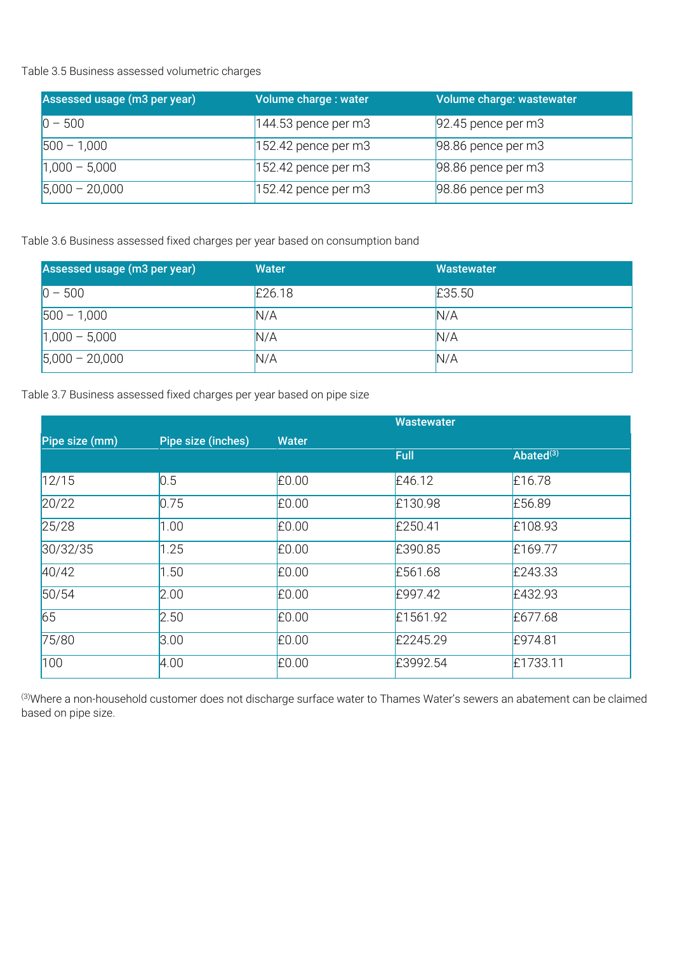Table 3.5 Business assessed volumetric charges

| Assessed usage (m3 per year) | Volume charge : water | Volume charge: wastewater |
|------------------------------|-----------------------|---------------------------|
| $ 0 - 500 $                  | $144.53$ pence per m3 | $92.45$ pence per m3      |
| $500 - 1,000$                | $152.42$ pence per m3 | 98.86 pence per m3        |
| $1,000 - 5,000$              | $152.42$ pence per m3 | 98.86 pence per m3        |
| $5,000 - 20,000$             | $152.42$ pence per m3 | 98.86 pence per m3        |

Table 3.6 Business assessed fixed charges per year based on consumption band

| Assessed usage (m3 per year) | <b>Water</b> | Wastewater |
|------------------------------|--------------|------------|
| $0 - 500$                    | £26.18       | £35.50     |
| $500 - 1,000$                | N/A          | N/A        |
| $1,000 - 5,000$              | N/A          | N/A        |
| $5,000 - 20,000$             | N/A          | N/A        |

Table 3.7 Business assessed fixed charges per year based on pipe size

|                |                    |              | <b>Wastewater</b> |              |
|----------------|--------------------|--------------|-------------------|--------------|
| Pipe size (mm) | Pipe size (inches) | <b>Water</b> |                   |              |
|                |                    |              | <b>Full</b>       | Abated $(3)$ |
| 12/15          | 0.5                | £0.00        | £46.12            | £16.78       |
| 20/22          | 0.75               | £0.00        | £130.98           | £56.89       |
| 25/28          | 1.00               | £0.00        | £250.41           | £108.93      |
| 30/32/35       | 1.25               | £0.00        | £390.85           | £169.77      |
| 40/42          | 1.50               | £0.00        | £561.68           | £243.33      |
| 50/54          | 2.00               | £0.00        | £997.42           | £432.93      |
| 65             | 2.50               | £0.00        | £1561.92          | £677.68      |
| 75/80          | 3.00               | £0.00        | £2245.29          | £974.81      |
| 100            | 4.00               | £0.00        | £3992.54          | £1733.11     |

(3)Where a non-household customer does not discharge surface water to Thames Water's sewers an abatement can be claimed based on pipe size.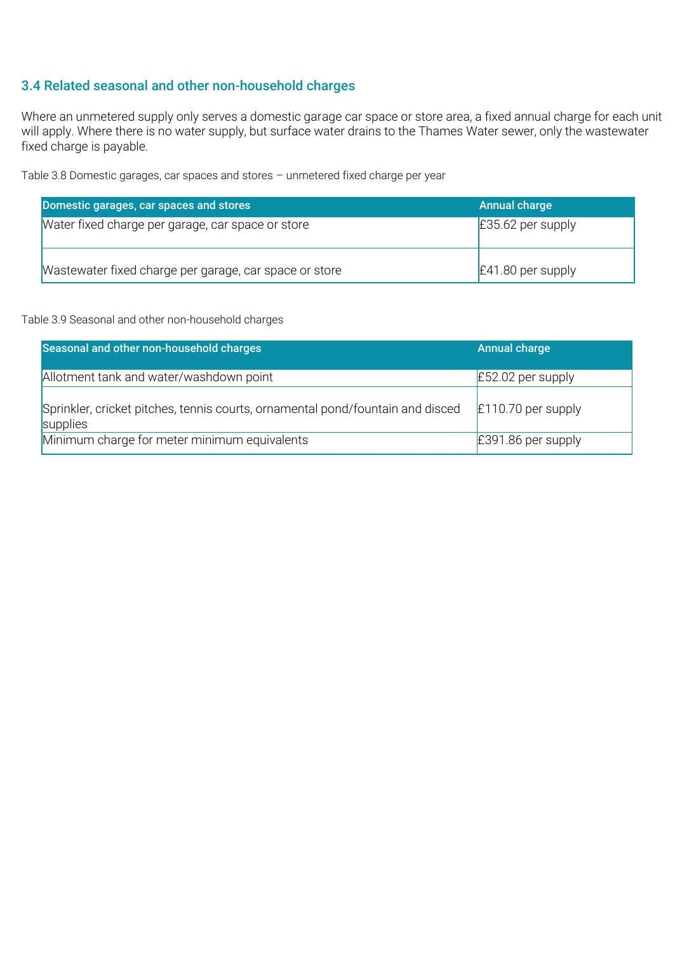#### 3.4 Related seasonal and other non-household charges

Where an unmetered supply only serves a domestic garage car space or store area, a fixed annual charge for each unit will apply. Where there is no water supply, but surface water drains to the Thames Water sewer, only the wastewater fixed charge is payable.

Table 3.8 Domestic garages, car spaces and stores – unmetered fixed charge per year

| Domestic garages, car spaces and stores                | Annual charge          |
|--------------------------------------------------------|------------------------|
| Water fixed charge per garage, car space or store      | $\pm 35.62$ per supply |
| Wastewater fixed charge per garage, car space or store | $E41.80$ per supply    |

#### Table 3.9 Seasonal and other non-household charges

| Seasonal and other non-household charges                                                   | <b>Annual charge</b> |
|--------------------------------------------------------------------------------------------|----------------------|
| Allotment tank and water/washdown point                                                    | $E$ 52.02 per supply |
| Sprinkler, cricket pitches, tennis courts, ornamental pond/fountain and disced<br>supplies | $E110.70$ per supply |
| Minimum charge for meter minimum equivalents                                               | $E391.86$ per supply |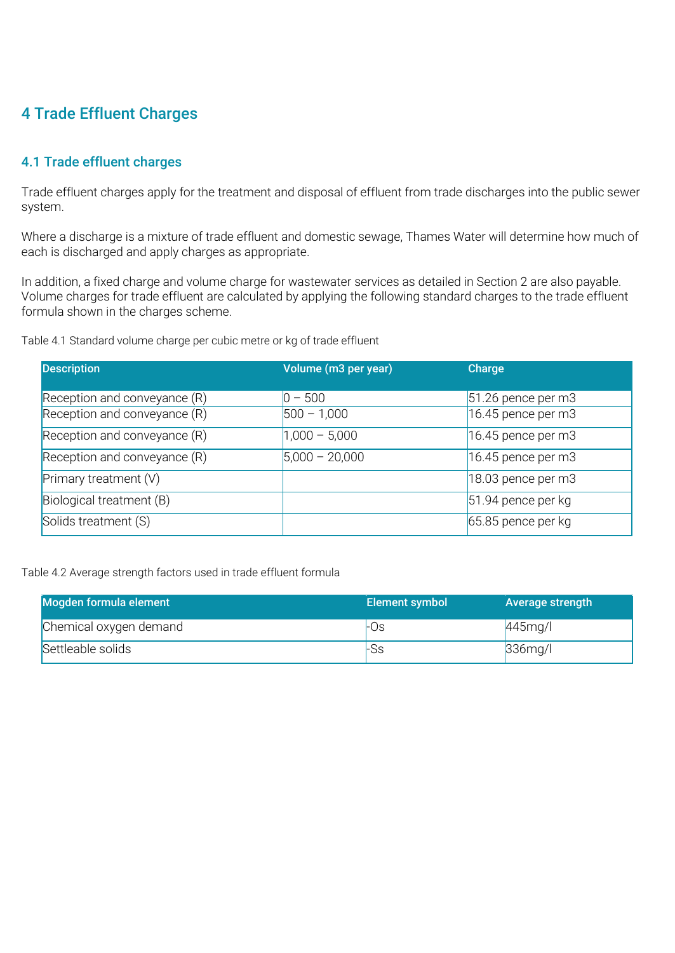# 4 Trade Effluent Charges

## 4.1 Trade effluent charges

Trade effluent charges apply for the treatment and disposal of effluent from trade discharges into the public sewer system.

Where a discharge is a mixture of trade effluent and domestic sewage, Thames Water will determine how much of each is discharged and apply charges as appropriate.

In addition, a fixed charge and volume charge for wastewater services as detailed in Section 2 are also payable. Volume charges for trade effluent are calculated by applying the following standard charges to the trade effluent formula shown in the charges scheme.

Table 4.1 Standard volume charge per cubic metre or kg of trade effluent

| <b>Description</b>             | Volume (m3 per year) | <b>Charge</b>        |
|--------------------------------|----------------------|----------------------|
| Reception and conveyance (R)   | $0 - 500$            | $51.26$ pence per m3 |
| Reception and conveyance $(R)$ | $ 500 - 1,000 $      | $16.45$ pence per m3 |
| Reception and conveyance (R)   | $1,000 - 5,000$      | 16.45 pence per $m3$ |
| Reception and conveyance (R)   | $5,000 - 20,000$     | 16.45 pence per $m3$ |
| Primary treatment $(V)$        |                      | $18.03$ pence per m3 |
| Biological treatment (B)       |                      | $51.94$ pence per kg |
| Solids treatment (S)           |                      | $65.85$ pence per kg |

Table 4.2 Average strength factors used in trade effluent formula

| Mogden formula element | Element symbol | Average strength |
|------------------------|----------------|------------------|
| Chemical oxygen demand | -Os            | $445$ mg/l       |
| Settleable solids      | rSs            | $336$ mg/l       |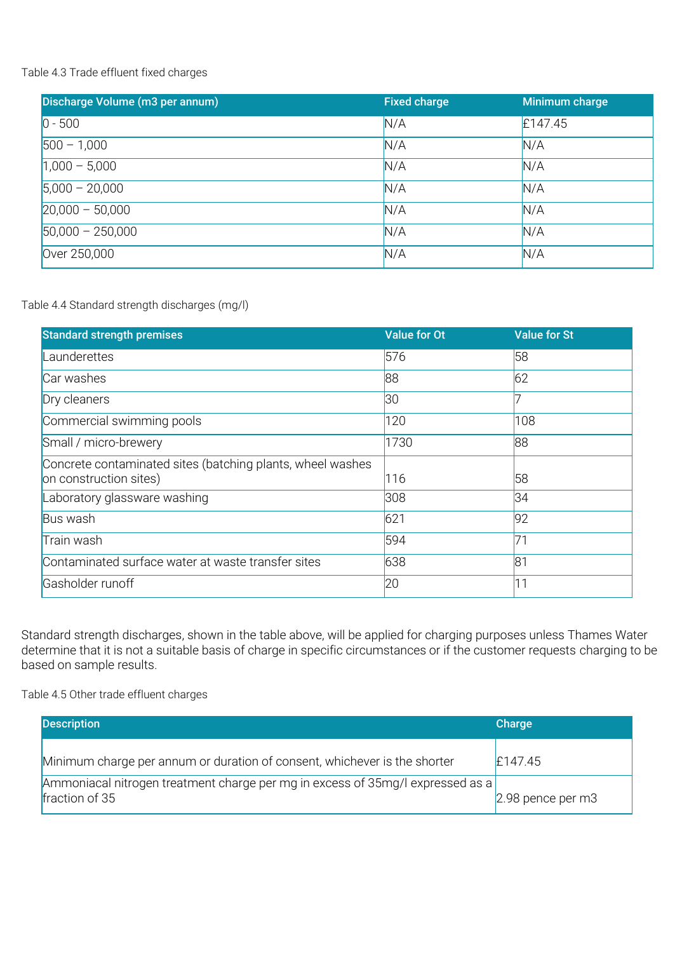#### Table 4.3 Trade effluent fixed charges

| Discharge Volume (m3 per annum) | <b>Fixed charge</b> | Minimum charge |
|---------------------------------|---------------------|----------------|
| $ 0 - 500 $                     | N/A                 | £147.45        |
| $500 - 1,000$                   | N/A                 | N/A            |
| $1,000 - 5,000$                 | N/A                 | N/A            |
| $5,000 - 20,000$                | N/A                 | N/A            |
| $20,000 - 50,000$               | N/A                 | N/A            |
| $50,000 - 250,000$              | N/A                 | N/A            |
| Over 250,000                    | N/A                 | N/A            |

#### Table 4.4 Standard strength discharges (mg/l)

| <b>Standard strength premises</b>                                                    | <b>Value for Ot</b> | <b>Value for St</b> |
|--------------------------------------------------------------------------------------|---------------------|---------------------|
| Launderettes                                                                         | 576                 | 58                  |
| Car washes                                                                           | 88                  | 62                  |
| Dry cleaners                                                                         | 30                  |                     |
| Commercial swimming pools                                                            | 120                 | 108                 |
| Small / micro-brewery                                                                | 1730                | 88                  |
| Concrete contaminated sites (batching plants, wheel washes<br>on construction sites) | 116                 | 58                  |
| Laboratory glassware washing                                                         | 308                 | 34                  |
| Bus wash                                                                             | 621                 | 92                  |
| Train wash                                                                           | 594                 | 71                  |
| Contaminated surface water at waste transfer sites                                   | 638                 | 81                  |
| Gasholder runoff                                                                     | 20                  | 11                  |

Standard strength discharges, shown in the table above, will be applied for charging purposes unless Thames Water determine that it is not a suitable basis of charge in specific circumstances or if the customer requests charging to be based on sample results.

Table 4.5 Other trade effluent charges

| <b>Description</b>                                                                               | Charge                 |
|--------------------------------------------------------------------------------------------------|------------------------|
| Minimum charge per annum or duration of consent, whichever is the shorter                        | £147.45                |
| Ammoniacal nitrogen treatment charge per mg in excess of 35mg/l expressed as a<br>fraction of 35 | $2.98$ pence per m $3$ |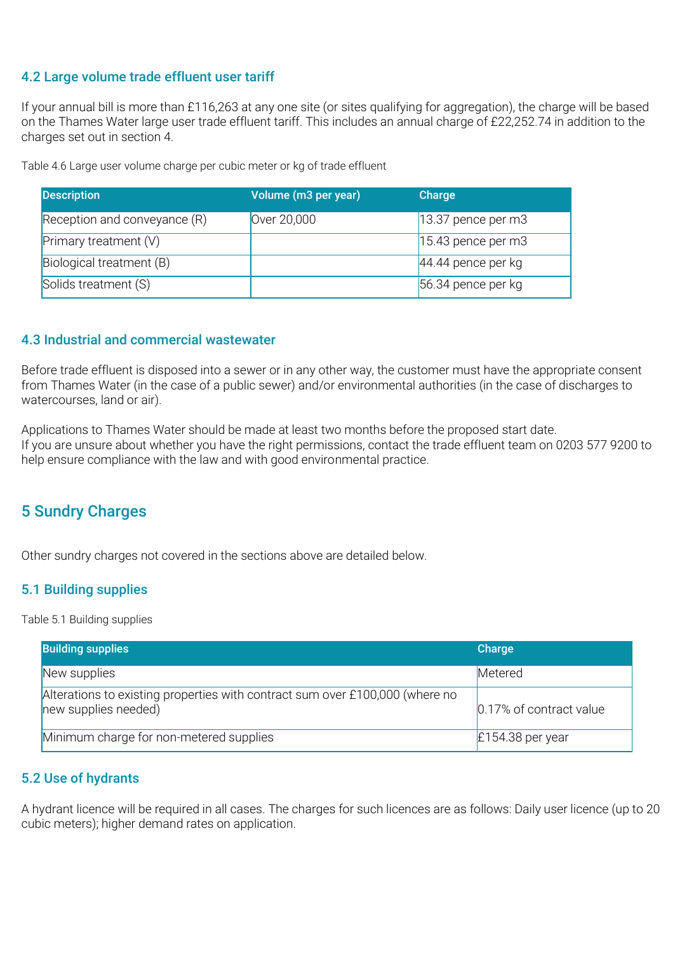#### 4.2 Large volume trade effluent user tariff

If your annual bill is more than £116,263 at any one site (or sites qualifying for aggregation), the charge will be based on the Thames Water large user trade effluent tariff. This includes an annual charge of £22,252.74 in addition to the charges set out in section 4.

Table 4.6 Large user volume charge per cubic meter or kg of trade effluent

| <b>Description</b>             | Volume (m3 per year) | Charge                |
|--------------------------------|----------------------|-----------------------|
| Reception and conveyance $(R)$ | Over 20,000          | $ 13.37$ pence per m3 |
| Primary treatment $(V)$        |                      | $ 15.43$ pence per m3 |
| Biological treatment (B)       |                      | $44.44$ pence per kg  |
| Solids treatment (S)           |                      | 56.34 pence per kg    |

#### 4.3 Industrial and commercial wastewater

Before trade effluent is disposed into a sewer or in any other way, the customer must have the appropriate consent from Thames Water (in the case of a public sewer) and/or environmental authorities (in the case of discharges to watercourses, land or air).

Applications to Thames Water should be made at least two months before the proposed start date. If you are unsure about whether you have the right permissions, contact the trade effluent team on 0203 577 9200 to help ensure compliance with the law and with good environmental practice.

# 5 Sundry Charges

Other sundry charges not covered in the sections above are detailed below.

#### 5.1 Building supplies

Table 5.1 Building supplies

| <b>Building supplies</b>                                                                             | Charge                  |
|------------------------------------------------------------------------------------------------------|-------------------------|
| New supplies                                                                                         | Metered                 |
| Alterations to existing properties with contract sum over £100,000 (where no<br>new supplies needed) | 0.17% of contract value |
| Minimum charge for non-metered supplies                                                              | $E154.38$ per year      |

#### 5.2 Use of hydrants

A hydrant licence will be required in all cases. The charges for such licences are as follows: Daily user licence (up to 20 cubic meters); higher demand rates on application.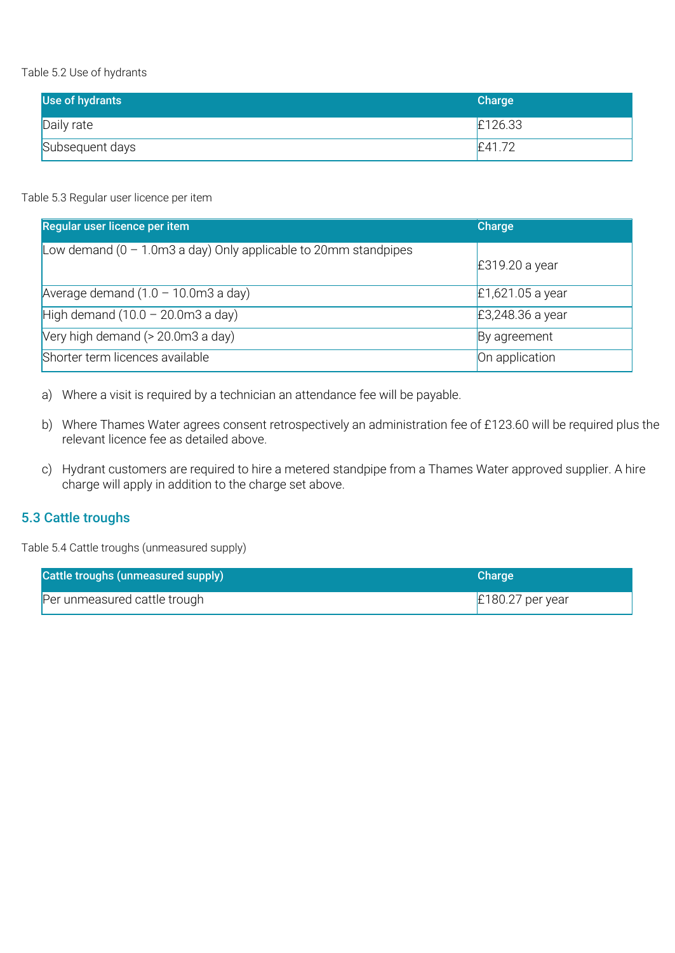Table 5.2 Use of hydrants

| Use of hydrants | Charge  |
|-----------------|---------|
| Daily rate      | £126.33 |
| Subsequent days | £41.72  |

#### Table 5.3 Regular user licence per item

| Regular user licence per item                                                     | <b>Charge</b>      |
|-----------------------------------------------------------------------------------|--------------------|
| Low demand $(0 - 1.0 \text{m}3 \text{ a day})$ Only applicable to 20mm standpipes | £319.20 a year     |
| Average demand $(1.0 - 10.0 \text{m}3 \text{ a day})$                             | $E1,621.05$ a year |
| High demand $(10.0 - 20.0 \text{m}3 \text{ a day})$                               | £3,248.36 a year   |
| Very high demand (> 20.0m3 a day)                                                 | By agreement       |
| Shorter term licences available                                                   | On application     |

a) Where a visit is required by a technician an attendance fee will be payable.

- b) Where Thames Water agrees consent retrospectively an administration fee of £123.60 will be required plus the relevant licence fee as detailed above.
- c) Hydrant customers are required to hire a metered standpipe from a Thames Water approved supplier. A hire charge will apply in addition to the charge set above.

#### 5.3 Cattle troughs

Table 5.4 Cattle troughs (unmeasured supply)

| Cattle troughs (unmeasured supply) | <b>Charge</b>      |
|------------------------------------|--------------------|
| Per unmeasured cattle trough       | $E180.27$ per year |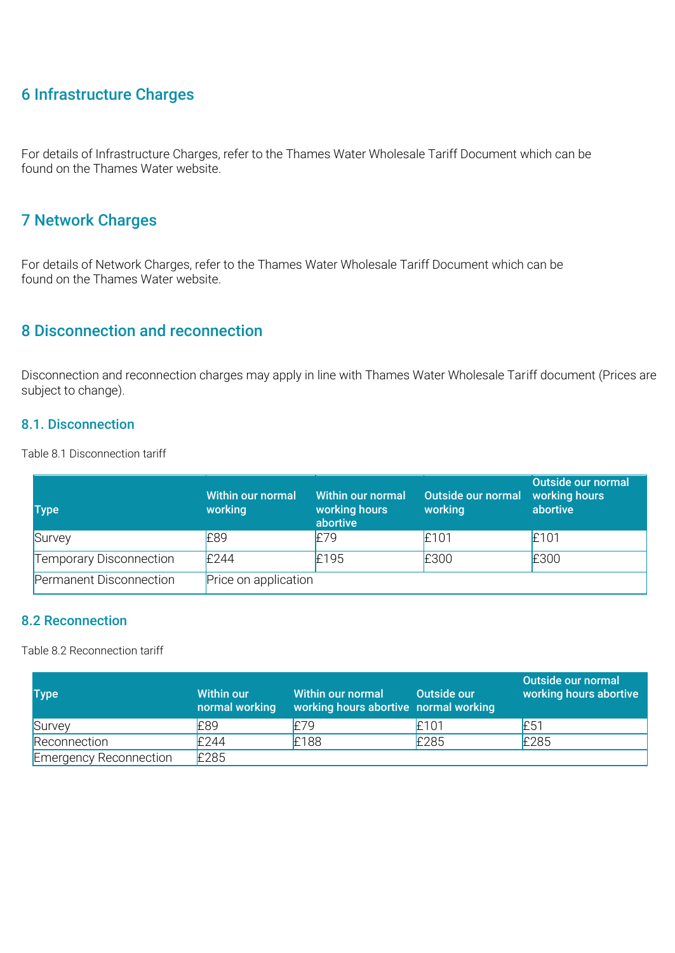# 6 Infrastructure Charges

For details of Infrastructure Charges, refer to the Thames Water Wholesale Tariff Document which can be found on the Thames Water website.

# 7 Network Charges

For details of Network Charges, refer to the Thames Water Wholesale Tariff Document which can be found on the Thames Water website.

### 8 Disconnection and reconnection

Disconnection and reconnection charges may apply in line with Thames Water Wholesale Tariff document (Prices are subject to change).

#### 8.1. Disconnection

Table 8.1 Disconnection tariff

| <b>Type</b>                    | Within our normal<br>working | Within our normal<br>working hours<br>abortive | Outside our normal<br>working | Outside our normal<br>working hours<br>abortive |
|--------------------------------|------------------------------|------------------------------------------------|-------------------------------|-------------------------------------------------|
| Survey                         | £89                          | E79                                            | £101                          | £101                                            |
| <b>Temporary Disconnection</b> | E244                         | £195                                           | £300                          | £300                                            |
| Permanent Disconnection        | Price on application         |                                                |                               |                                                 |

#### 8.2 Reconnection

Table 8.2 Reconnection tariff

| <b>Type</b>                   | <b>Within our</b><br>normal working | Within our normal<br>working hours abortive normal working | Outside our | Outside our normal<br>working hours abortive |
|-------------------------------|-------------------------------------|------------------------------------------------------------|-------------|----------------------------------------------|
| Survey                        | £89                                 | F79                                                        | E101        | E51                                          |
| Reconnection                  | £244                                | £188                                                       | £285        | £285                                         |
| <b>Emergency Reconnection</b> | £285                                |                                                            |             |                                              |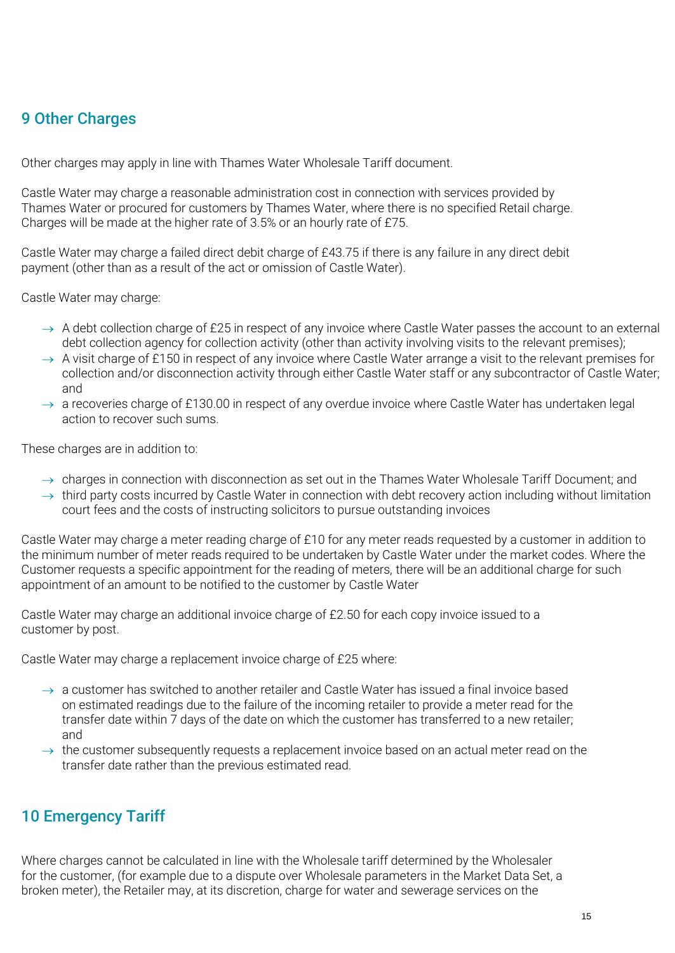# 9 Other Charges

Other charges may apply in line with Thames Water Wholesale Tariff document.

Castle Water may charge a reasonable administration cost in connection with services provided by Thames Water or procured for customers by Thames Water, where there is no specified Retail charge. Charges will be made at the higher rate of 3.5% or an hourly rate of £75.

Castle Water may charge a failed direct debit charge of £43.75 if there is any failure in any direct debit payment (other than as a result of the act or omission of Castle Water).

Castle Water may charge:

- $\rightarrow$  A debt collection charge of £25 in respect of any invoice where Castle Water passes the account to an external debt collection agency for collection activity (other than activity involving visits to the relevant premises);
- $\rightarrow$  A visit charge of £150 in respect of any invoice where Castle Water arrange a visit to the relevant premises for collection and/or disconnection activity through either Castle Water staff or any subcontractor of Castle Water; and
- $\rightarrow$  a recoveries charge of £130.00 in respect of any overdue invoice where Castle Water has undertaken legal action to recover such sums.

These charges are in addition to:

- $\rightarrow$  charges in connection with disconnection as set out in the Thames Water Wholesale Tariff Document; and
- $\rightarrow$  third party costs incurred by Castle Water in connection with debt recovery action including without limitation court fees and the costs of instructing solicitors to pursue outstanding invoices

Castle Water may charge a meter reading charge of £10 for any meter reads requested by a customer in addition to the minimum number of meter reads required to be undertaken by Castle Water under the market codes. Where the Customer requests a specific appointment for the reading of meters, there will be an additional charge for such appointment of an amount to be notified to the customer by Castle Water

Castle Water may charge an additional invoice charge of £2.50 for each copy invoice issued to a customer by post.

Castle Water may charge a replacement invoice charge of £25 where:

- $\rightarrow$  a customer has switched to another retailer and Castle Water has issued a final invoice based on estimated readings due to the failure of the incoming retailer to provide a meter read for the transfer date within 7 days of the date on which the customer has transferred to a new retailer; and
- $\rightarrow$  the customer subsequently requests a replacement invoice based on an actual meter read on the transfer date rather than the previous estimated read.

# 10 Emergency Tariff

Where charges cannot be calculated in line with the Wholesale tariff determined by the Wholesaler for the customer, (for example due to a dispute over Wholesale parameters in the Market Data Set, a broken meter), the Retailer may, at its discretion, charge for water and sewerage services on the